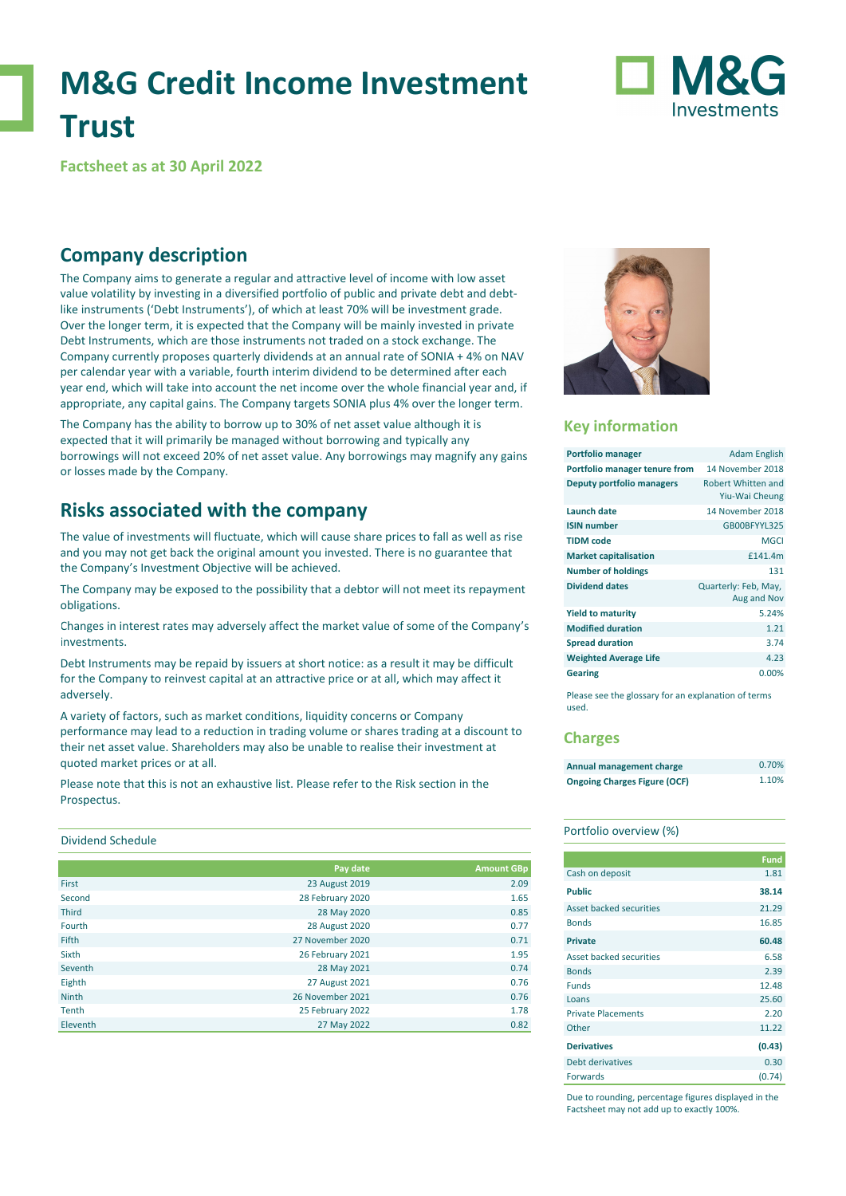# **M&G Credit Income Investment Trust**

# Investments

**Factsheet as at 30 April 2022**

# **Company description**

The Company aims to generate a regular and attractive level of income with low asset value volatility by investing in a diversified portfolio of public and private debt and debtlike instruments ('Debt Instruments'), of which at least 70% will be investment grade. Over the longer term, it is expected that the Company will be mainly invested in private Debt Instruments, which are those instruments not traded on a stock exchange. The Company currently proposes quarterly dividends at an annual rate of SONIA + 4% on NAV per calendar year with a variable, fourth interim dividend to be determined after each year end, which will take into account the net income over the whole financial year and, if appropriate, any capital gains. The Company targets SONIA plus 4% over the longer term.

The Company has the ability to borrow up to 30% of net asset value although it is expected that it will primarily be managed without borrowing and typically any borrowings will not exceed 20% of net asset value. Any borrowings may magnify any gains or losses made by the Company.

# **Risks associated with the company**

The value of investments will fluctuate, which will cause share prices to fall as well as rise and you may not get back the original amount you invested. There is no guarantee that the Company's Investment Objective will be achieved.

The Company may be exposed to the possibility that a debtor will not meet its repayment obligations.

Changes in interest rates may adversely affect the market value of some of the Company's investments.

Debt Instruments may be repaid by issuers at short notice: as a result it may be difficult for the Company to reinvest capital at an attractive price or at all, which may affect it adversely.

A variety of factors, such as market conditions, liquidity concerns or Company performance may lead to a reduction in trading volume or shares trading at a discount to their net asset value. Shareholders may also be unable to realise their investment at quoted market prices or at all.

Please note that this is not an exhaustive list. Please refer to the Risk section in the Prospectus.

## Dividend Schedule

|              | Pay date              | <b>Amount GBp</b> |
|--------------|-----------------------|-------------------|
| First        | 23 August 2019        | 2.09              |
| Second       | 28 February 2020      | 1.65              |
| <b>Third</b> | 28 May 2020           | 0.85              |
| Fourth       | <b>28 August 2020</b> | 0.77              |
| <b>Fifth</b> | 27 November 2020      | 0.71              |
| Sixth        | 26 February 2021      | 1.95              |
| Seventh      | 28 May 2021           | 0.74              |
| Eighth       | 27 August 2021        | 0.76              |
| <b>Ninth</b> | 26 November 2021      | 0.76              |
| Tenth        | 25 February 2022      | 1.78              |
| Eleventh     | 27 May 2022           | 0.82              |



## **Key information**

| <b>Portfolio manager</b>      | Adam English                         |
|-------------------------------|--------------------------------------|
| Portfolio manager tenure from | 14 November 2018                     |
| Deputy portfolio managers     | Robert Whitten and<br>Yiu-Wai Cheung |
| Launch date                   | 14 November 2018                     |
| <b>ISIN number</b>            | GB00BFYYL325                         |
| <b>TIDM</b> code              | MGCI                                 |
| <b>Market capitalisation</b>  | £141.4m                              |
| <b>Number of holdings</b>     | 131                                  |
| <b>Dividend dates</b>         | Quarterly: Feb, May,<br>Aug and Nov  |
| <b>Yield to maturity</b>      | 5.24%                                |
| <b>Modified duration</b>      | 1.21                                 |
| <b>Spread duration</b>        | 3.74                                 |
| <b>Weighted Average Life</b>  | 4.23                                 |
| <b>Gearing</b>                | 0.00%                                |

Please see the glossary for an explanation of terms used.

## **Charges**

| Annual management charge            | 0.70% |
|-------------------------------------|-------|
| <b>Ongoing Charges Figure (OCF)</b> | 1.10% |

## Portfolio overview (%)

|                           | <b>Fund</b> |
|---------------------------|-------------|
| Cash on deposit           | 1.81        |
| <b>Public</b>             | 38.14       |
| Asset backed securities   | 21.29       |
| <b>Bonds</b>              | 16.85       |
| <b>Private</b>            | 60.48       |
| Asset backed securities   | 6.58        |
| <b>Bonds</b>              | 2.39        |
| <b>Funds</b>              | 12.48       |
| Loans                     | 25.60       |
| <b>Private Placements</b> | 2.20        |
| Other                     | 11.22       |
| <b>Derivatives</b>        | (0.43)      |
| Debt derivatives          | 0.30        |
| <b>Forwards</b>           | (0.74)      |

Due to rounding, percentage figures displayed in the Factsheet may not add up to exactly 100%.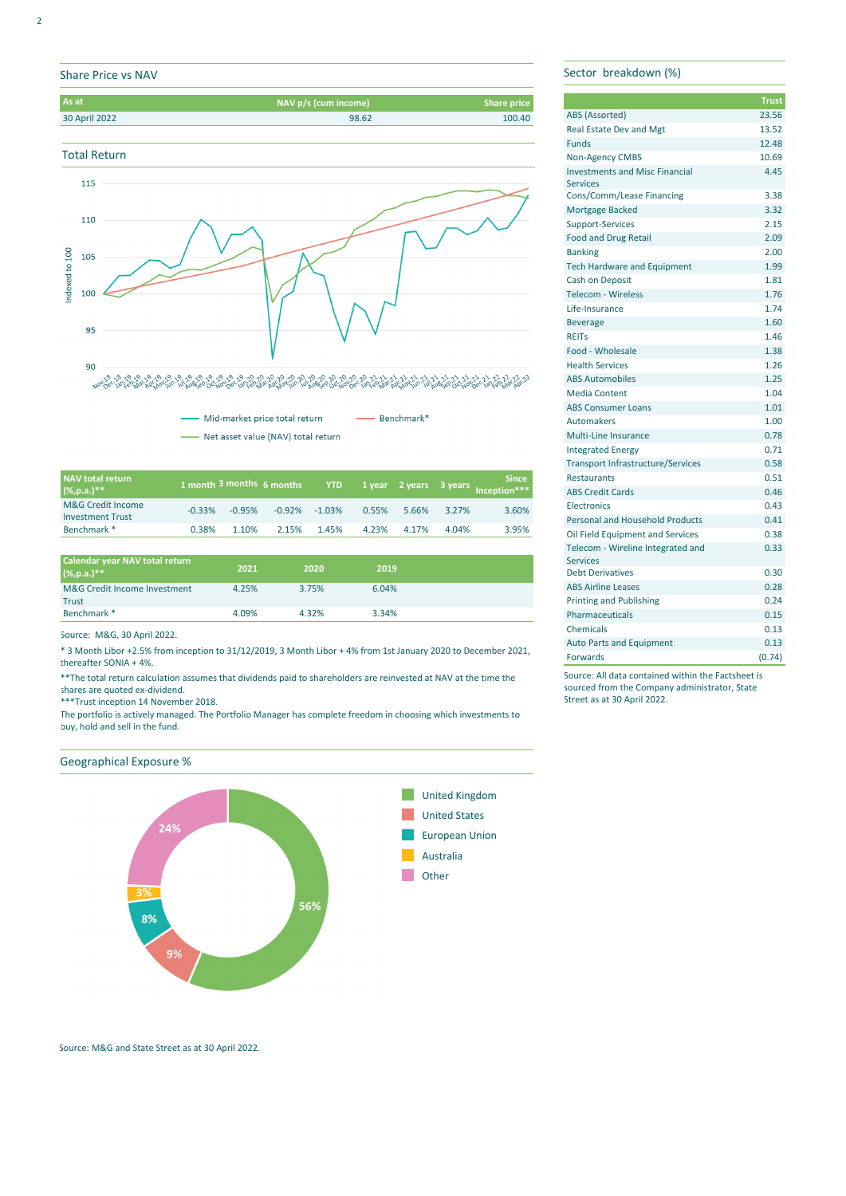# Share Price vs NAV







Mid-market price total return  $-$  Benchmark<sup>\*</sup>

- Net asset value (NAV) total return

| NAV total return<br>$(% )^{**}$              |          |          | 1 month 3 months 6 months |       |       |       |       | <b>Since</b><br>YTD 1 year 2 years 3 years Inception*** |
|----------------------------------------------|----------|----------|---------------------------|-------|-------|-------|-------|---------------------------------------------------------|
| M&G Credit Income<br><b>Investment Trust</b> | $-0.33%$ | $-0.95%$ | $-0.92\% -1.03\%$         |       | 0.55% | 5.66% | 3.27% | 3.60%                                                   |
| Benchmark <sup>*</sup>                       | 0.38%    | 1.10%    | 2.15%                     | 1.45% | 4.23% | 4.17% | 4.04% | 3.95%                                                   |

| Calendar year NAV total return<br>$(% )^{**}$ | 2021  | 2020  | 2019  |  |
|-----------------------------------------------|-------|-------|-------|--|
| M&G Credit Income Investment<br>Trust         | 4.25% | 3.75% | 6.04% |  |
| Benchmark *                                   | 4.09% | 4.32% | 3.34% |  |

Source: M&G, 30 April 2022.

\* 3 Month Libor +2.5% from inception to 31/12/2019, 3 Month Libor + 4% from 1st January 2020 to December 2021, thereafter SONIA + 4%.

\*\*The total return calculation assumes that dividends paid to shareholders are reinvested at NAV at the time the shares are quoted ex-dividend.

\*\*\*Trust inception 14 November 2018.

The portfolio is actively managed. The Portfolio Manager has complete freedom in choosing which investments to buy, hold and sell in the fund.

## Geographical Exposure %



## Source: M&G and State Street as at 30 April 2022.

Sector breakdown (%)

|                                          | <b>Trust</b> |
|------------------------------------------|--------------|
| ABS (Assorted)                           | 23.56        |
| <b>Real Estate Dev and Mgt</b>           | 13.52        |
| <b>Funds</b>                             | 12.48        |
| Non-Agency CMBS                          | 10.69        |
| <b>Investments and Misc Financial</b>    | 4.45         |
| <b>Services</b>                          |              |
| Cons/Comm/Lease Financing                | 3.38         |
| <b>Mortgage Backed</b>                   | 3.32         |
| <b>Support-Services</b>                  | 2.15         |
| <b>Food and Drug Retail</b>              | 2.09         |
| <b>Banking</b>                           | 2.00         |
| <b>Tech Hardware and Equipment</b>       | 1.99         |
| <b>Cash on Deposit</b>                   | 1.81         |
| <b>Telecom - Wireless</b>                | 1.76         |
| Life-Insurance                           | 1.74         |
| <b>Beverage</b>                          | 1.60         |
| <b>REITS</b>                             | 1.46         |
| Food - Wholesale                         | 1.38         |
| <b>Health Services</b>                   | 1.26         |
| <b>ABS Automobiles</b>                   | 1.25         |
| <b>Media Content</b>                     | 1.04         |
| <b>ABS Consumer Loans</b>                | 1.01         |
| <b>Automakers</b>                        | 1.00         |
| <b>Multi-Line Insurance</b>              | 0.78         |
| <b>Integrated Energy</b>                 | 0.71         |
| <b>Transport Infrastructure/Services</b> | 0.58         |
| <b>Restaurants</b>                       | 0.51         |
| <b>ABS Credit Cards</b>                  | 0.46         |
| Electronics                              | 0.43         |
| <b>Personal and Household Products</b>   | 0.41         |
| Oil Field Equipment and Services         | 0.38         |
| Telecom - Wireline Integrated and        | 0.33         |
| <b>Services</b>                          |              |
| <b>Debt Derivatives</b>                  | 0.30         |
| <b>ABS Airline Leases</b>                | 0.28         |
| <b>Printing and Publishing</b>           | 0.24         |
| <b>Pharmaceuticals</b>                   | 0.15         |
| Chemicals                                | 0.13         |
| <b>Auto Parts and Equipment</b>          | 0.13         |
| Forwards                                 | (0.74)       |

Source: All data contained within the Factsheet is sourced from the Company administrator, State Street as at 30 April 2022.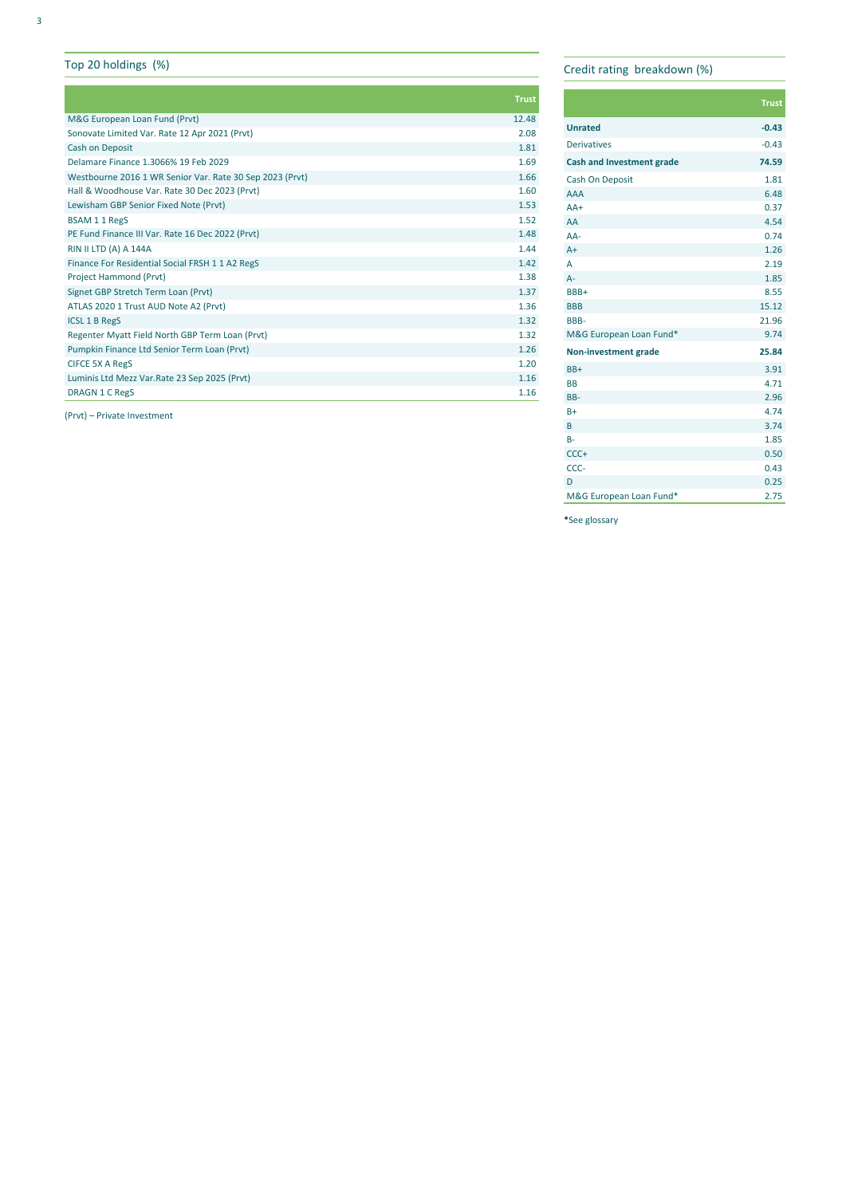## Top 20 holdings (%)

|                                                          | <b>Trust</b> |
|----------------------------------------------------------|--------------|
| M&G European Loan Fund (Prvt)                            | 12.48        |
| Sonovate Limited Var. Rate 12 Apr 2021 (Prvt)            | 2.08         |
| Cash on Deposit                                          | 1.81         |
| Delamare Finance 1.3066% 19 Feb 2029                     | 1.69         |
| Westbourne 2016 1 WR Senior Var. Rate 30 Sep 2023 (Prvt) | 1.66         |
| Hall & Woodhouse Var. Rate 30 Dec 2023 (Pryt)            | 1.60         |
| Lewisham GBP Senior Fixed Note (Prvt)                    | 1.53         |
| BSAM 1 1 RegS                                            | 1.52         |
| PE Fund Finance III Var. Rate 16 Dec 2022 (Prvt)         | 1.48         |
| <b>RIN II LTD (A) A 144A</b>                             | 1.44         |
| Finance For Residential Social FRSH 1 1 A2 RegS          | 1.42         |
| Project Hammond (Prvt)                                   | 1.38         |
| Signet GBP Stretch Term Loan (Prvt)                      | 1.37         |
| ATLAS 2020 1 Trust AUD Note A2 (Prvt)                    | 1.36         |
| <b>ICSL 1 B RegS</b>                                     | 1.32         |
| Regenter Myatt Field North GBP Term Loan (Prvt)          | 1.32         |
| Pumpkin Finance Ltd Senior Term Loan (Prvt)              | 1.26         |
| <b>CIFCE 5X A RegS</b>                                   | 1.20         |
| Luminis Ltd Mezz Var. Rate 23 Sep 2025 (Prvt)            | 1.16         |
| <b>DRAGN 1 C RegS</b>                                    | 1.16         |
|                                                          |              |

(Prvt) – Private Investment

## Credit rating breakdown (%)

|                                  | <b>Trust</b> |
|----------------------------------|--------------|
| <b>Unrated</b>                   | $-0.43$      |
| <b>Derivatives</b>               | $-0.43$      |
| <b>Cash and Investment grade</b> | 74.59        |
| Cash On Deposit                  | 1.81         |
| <b>AAA</b>                       | 6.48         |
| $AA+$                            | 0.37         |
| AA                               | 4.54         |
| $AA-$                            | 0.74         |
| $A+$                             | 1.26         |
| A                                | 2.19         |
| $A -$                            | 1.85         |
| BBB+                             | 8.55         |
| <b>BBB</b>                       | 15.12        |
| <b>BBB-</b>                      | 21.96        |
| M&G European Loan Fund*          | 9.74         |
| Non-investment grade             | 25.84        |
| BB+                              | 3.91         |
| <b>BB</b>                        | 4.71         |
| BB-                              | 2.96         |
| $B+$                             | 4.74         |
| B                                | 3.74         |
| $B -$                            | 1.85         |
| $CCC +$                          | 0.50         |
| CCC-                             | 0.43         |
| D                                | 0.25         |
| M&G European Loan Fund*          | 2.75         |

\*See glossary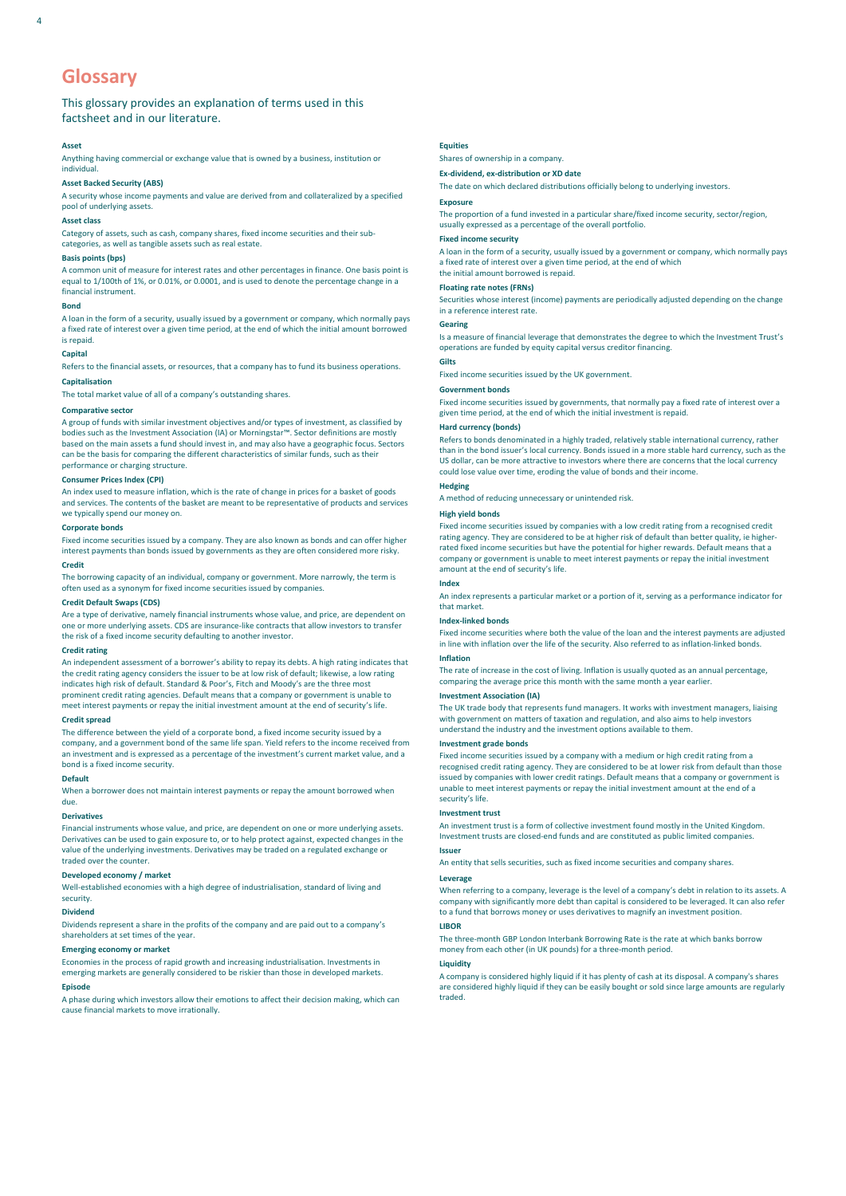## **Glossary**

## This glossary provides an explanation of terms used in this factsheet and in our literature.

#### **Asset**

Anything having commercial or exchange value that is owned by a business, institution or individual.

## **Asset Backed Security (ABS)**

A security whose income payments and value are derived from and collateralized by a specified pool of underlying assets.

#### **Asset class**

Category of assets, such as cash, company shares, fixed income securities and their sub-categories, as well as tangible assets such as real estate.

#### **Basis points (bps)**

A common unit of measure for interest rates and other percentages in finance. One basis point is equal to 1/100th of 1%, or 0.01%, or 0.0001, and is used to denote the percentage change in a financial instrument.

#### **Bond**

A loan in the form of a security, usually issued by a government or company, which normally pays a fixed rate of interest over a given time period, at the end of which the initial amount borrowed is repaid.

#### **Capital**

Refers to the financial assets, or resources, that a company has to fund its business operations.

## **Capitalisation**

The total market value of all of a company's outstanding shares.

## **Comparative sector**

A group of funds with similar investment objectives and/or types of investment, as classified by bodies such as the Investment Association (IA) or Morningstar™. Sector definitions are mostly based on the main assets a fund should invest in, and may also have a geographic focus. Sectors can be the basis for comparing the different characteristics of similar funds, such as their performance or charging structure.

## **Consumer Prices Index (CPI)**

An index used to measure inflation, which is the rate of change in prices for a basket of goods and services. The contents of the basket are meant to be representative of products and services we typically spend our money on.

#### **Corporate bonds**

Fixed income securities issued by a company. They are also known as bonds and can offer higher interest payments than bonds issued by governments as they are often considered more risky. **Credit**

The borrowing capacity of an individual, company or government. More narrowly, the term is often used as a synonym for fixed income securities issued by companies.

## **Credit Default Swaps (CDS)**

Are a type of derivative, namely financial instruments whose value, and price, are dependent on one or more underlying assets. CDS are insurance-like contracts that allow investors to transfer the risk of a fixed income security defaulting to another investor.

#### **Credit rating**

An independent assessment of a borrower's ability to repay its debts. A high rating indicates that the credit rating agency considers the issuer to be at low risk of default; likewise, a low rating indicates high risk of default. Standard & Poor's, Fitch and Moody's are the three most prominent credit rating agencies. Default means that a company or government is unable to meet interest payments or repay the initial investment amount at the end of security's life.

#### **Credit spread**

The difference between the yield of a corporate bond, a fixed income security issued by a company, and a government bond of the same life span. Yield refers to the income received from an investment and is expressed as a percentage of the investment's current market value, and a bond is a fixed income security.

## **Default**

When a borrower does not maintain interest payments or repay the amount borrowed when due.

#### **Derivatives**

Financial instruments whose value, and price, are dependent on one or more underlying assets. Derivatives can be used to gain exposure to, or to help protect against, expected changes in the value of the underlying investments. Derivatives may be traded on a regulated exchange or traded over the counter.

#### **Developed economy / market**

Well-established economies with a high degree of industrialisation, standard of living and security.

#### **Dividend**

Dividends represent a share in the profits of the company and are paid out to a company's shareholders at set times of the year.

#### **Emerging economy or market**

Economies in the process of rapid growth and increasing industrialisation. Investments in emerging markets are generally considered to be riskier than those in developed markets.

#### **Episode**

A phase during which investors allow their emotions to affect their decision making, which can cause financial markets to move irrationally.

Shares of ownership in a company.

## **Ex-dividend, ex-distribution or XD date**

The date on which declared distributions officially belong to underlying investors.

## **Exposure**

The proportion of a fund invested in a particular share/fixed income security, sector/region, usually expressed as a percentage of the overall portfolio.

#### **Fixed income security**

A loan in the form of a security, usually issued by a government or company, which normally pays a fixed rate of interest over a given time period, at the end of which the initial amount borrowed is repaid.

## **Floating rate notes (FRNs)**

Securities whose interest (income) payments are periodically adjusted depending on the change in a reference interest rate.

#### **Gearing**

Is a measure of financial leverage that demonstrates the degree to which the Investment Trust's operations are funded by equity capital versus creditor financing.

## **Gilts**

Fixed income securities issued by the UK government.

## **Government bonds**

Fixed income securities issued by governments, that normally pay a fixed rate of interest over a given time period, at the end of which the initial investment is repaid.

#### **Hard currency (bonds)**

Refers to bonds denominated in a highly traded, relatively stable international currency, rather than in the bond issuer's local currency. Bonds issued in a more stable hard currency, such as the US dollar, can be more attractive to investors where there are concerns that the local currency could lose value over time, eroding the value of bonds and their income.

## **Hedging**

A method of reducing unnecessary or unintended risk.

## **High yield bonds**

Fixed income securities issued by companies with a low credit rating from a recognised credit rating agency. They are considered to be at higher risk of default than better quality, ie higherrated fixed income securities but have the potential for higher rewards. Default means that a company or government is unable to meet interest payments or repay the initial investment amount at the end of security's life.

## **Index**

An index represents a particular market or a portion of it, serving as a performance indicator for that market.

#### **Index-linked bonds**

Fixed income securities where both the value of the loan and the interest payments are adjusted in line with inflation over the life of the security. Also referred to as inflation-linked bonds.

## **Inflation**

The rate of increase in the cost of living. Inflation is usually quoted as an annual percentage, comparing the average price this month with the same month a year earlier.

#### **Investment Association (IA)**

The UK trade body that represents fund managers. It works with investment managers, liaising with government on matters of taxation and regulation, and also aims to help investors understand the industry and the investment options available to them.

#### **Investment grade bonds**

Fixed income securities issued by a company with a medium or high credit rating from a recognised credit rating agency. They are considered to be at lower risk from default than those issued by companies with lower credit ratings. Default means that a company or government is unable to meet interest payments or repay the initial investment amount at the end of a security's life.

### **Investment trust**

An investment trust is a form of collective investment found mostly in the United Kingdom. Investment trusts are closed-end funds and are constituted as public limited companies.

## **Issuer**

An entity that sells securities, such as fixed income securities and company shares.

## **Leverage**

When referring to a company, leverage is the level of a company's debt in relation to its assets. A company with significantly more debt than capital is considered to be leveraged. It can also refer to a fund that borrows money or uses derivatives to magnify an investment position.

## **LIBOR**

The three-month GBP London Interbank Borrowing Rate is the rate at which banks borrow money from each other (in UK pounds) for a three-month period.

#### **Liquidity**

A company is considered highly liquid if it has plenty of cash at its disposal. A company's shares are considered highly liquid if they can be easily bought or sold since large amounts are regularly traded.